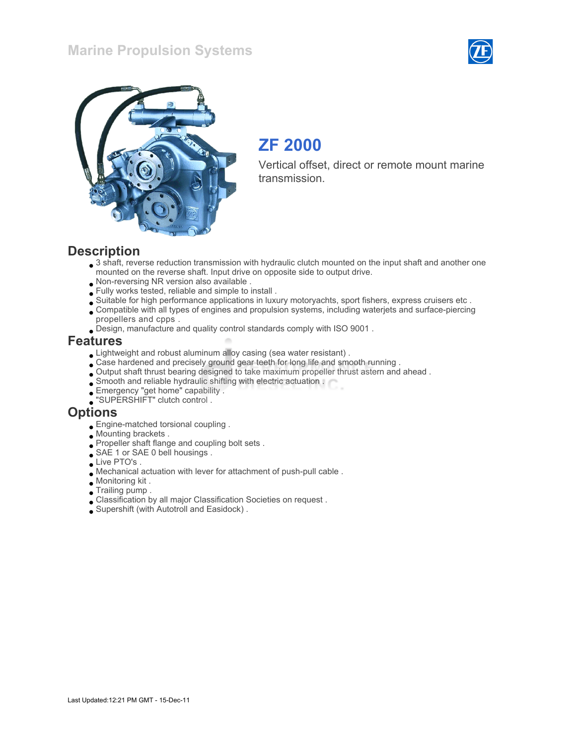## Marine Propulsion Systems





# ZF 2000

Vertical offset, direct or remote mount marine transmission.

#### **Description**

- $\bullet$  3 shaft, reverse reduction transmission with hydraulic clutch mounted on the input shaft and another one mounted on the reverse shaft. Input drive on opposite side to output drive.
- Non-reversing NR version also available .
- Fully works tested, reliable and simple to install .
- Suitable for high performance applications in luxury motoryachts, sport fishers, express cruisers etc .
- Compatible with all types of engines and propulsion systems, including waterjets and surface-piercing propellers and cpps .
- Design, manufacture and quality control standards comply with ISO 9001 .

#### Features

- Lightweight and robust aluminum alloy casing (sea water resistant) .
- Case hardened and precisely ground gear teeth for long life and smooth running .
- Output shaft thrust bearing designed to take maximum propeller thrust astern and ahead .
- Smooth and reliable hydraulic shifting with electric actuation .
- Emergency "get home" capability .
- "SUPERSHIFT" clutch control .

#### **Options**

- Engine-matched torsional coupling .
- Mounting brackets .
- Propeller shaft flange and coupling bolt sets .
- SAE 1 or SAE 0 bell housings .
- Live PTO's.
- Mechanical actuation with lever for attachment of push-pull cable .
- Monitoring kit .
- Trailing pump .
- Classification by all major Classification Societies on request .
- Supershift (with Autotroll and Easidock) .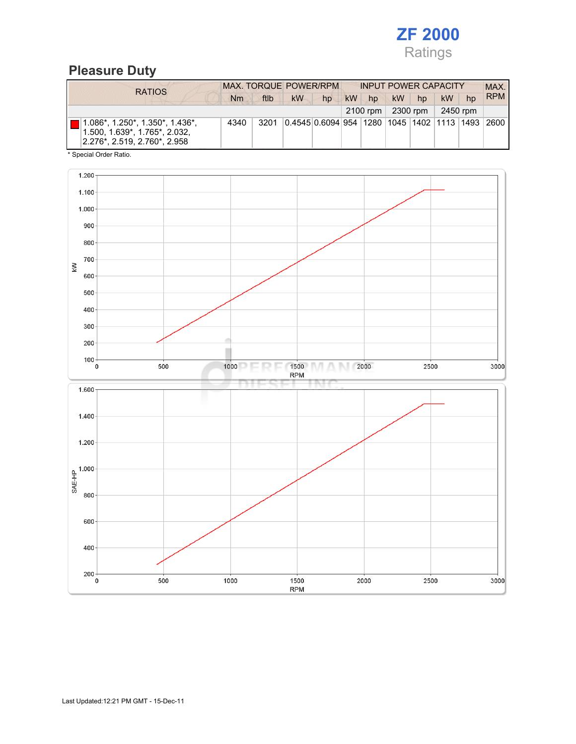

# Pleasure Duty

| <b>RATIOS</b>                                                                                                       | <b>MAX. TORQUE POWER/RPM</b> |      |                                                        |    | <b>INPUT POWER CAPACITY</b> |                  |           |          |           |    | MAX.       |
|---------------------------------------------------------------------------------------------------------------------|------------------------------|------|--------------------------------------------------------|----|-----------------------------|------------------|-----------|----------|-----------|----|------------|
|                                                                                                                     | Nm                           | ftlb | kW                                                     | hp | <b>kW</b>                   | hp               | <b>kW</b> | hp       | <b>kW</b> | hp | <b>RPM</b> |
|                                                                                                                     |                              |      |                                                        |    |                             | 2100 rpm $\vert$ |           | 2300 rpm | 2450 rpm  |    |            |
| $1.086^*$ , 1.250 $^*$ , 1.350 $^*$ , 1.436 $^*$ ,<br>1.500, 1.639*, 1.765*, 2.032,<br>2.276*. 2.519. 2.760*. 2.958 | 4340                         | 3201 | 0.4545 0.6094 954  1280  1045  1402  1113  1493   2600 |    |                             |                  |           |          |           |    |            |

\* Special Order Ratio.

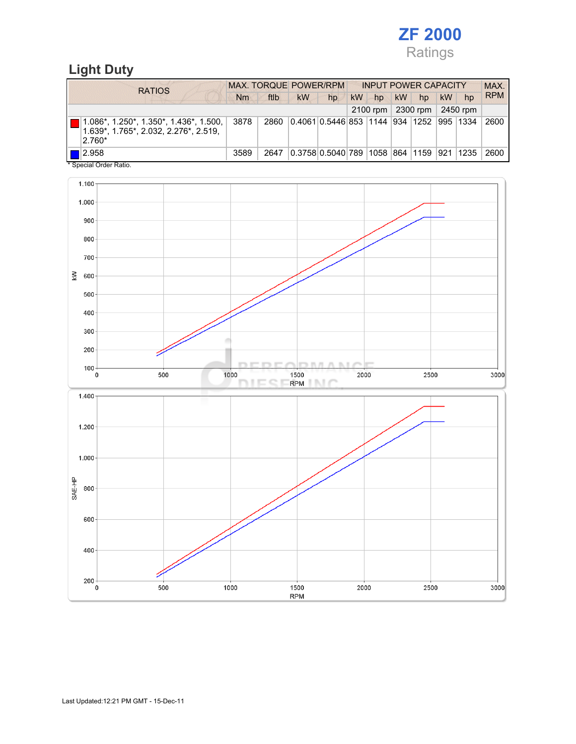

## Light Duty

| <b>RATIOS</b>                                                                                           | MAX. TORQUE POWER/RPM<br><b>INPUT POWER CAPACITY</b> |      |                                               |    |           |    |           |                                |    |    | MAX.       |
|---------------------------------------------------------------------------------------------------------|------------------------------------------------------|------|-----------------------------------------------|----|-----------|----|-----------|--------------------------------|----|----|------------|
|                                                                                                         | Nm                                                   | ftlb | <b>kW</b>                                     | hp | <b>kW</b> | hp | <b>kW</b> | hp                             | kW | hp | <b>RPM</b> |
|                                                                                                         |                                                      |      |                                               |    |           |    |           | 2100 rpm   2300 rpm   2450 rpm |    |    |            |
| $  1.086^*, 1.250^*, 1.350^*, 1.436^*, 1.500,   $<br>1.639*, 1.765*, 2.032, 2.276*, 2.519,<br>$ 2.760*$ | 3878                                                 | 2860 | 0.4061 0.5446 853  1144  934  1252  995  1334 |    |           |    |           |                                |    |    | 2600       |
| $\blacksquare$ 2.958<br>$*$ 0. $*$ 10. $*$ 0. $*$                                                       | 3589                                                 | 2647 | 0.3758 0.5040 789  1058  864  1159  921  1235 |    |           |    |           |                                |    |    | 2600       |

Special Order Ratio.

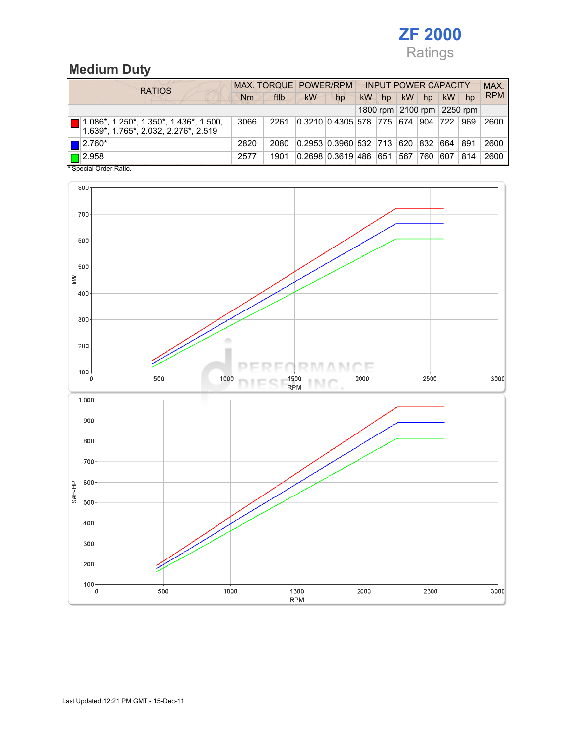

# Medium Duty

|  | <b>RATIOS</b>                                                                                   |      | MAX. TORQUE POWER/RPM |                                  |    |           |    | <b>INPUT POWER CAPACITY</b> |                            |               |     |            |  |
|--|-------------------------------------------------------------------------------------------------|------|-----------------------|----------------------------------|----|-----------|----|-----------------------------|----------------------------|---------------|-----|------------|--|
|  |                                                                                                 |      | ftlb                  | kW                               | hp | <b>kW</b> | hp | kW                          | hp                         | kW            | hp  | <b>RPM</b> |  |
|  |                                                                                                 |      |                       |                                  |    |           |    |                             | 1800 rpm 2100 rpm 2250 rpm |               |     |            |  |
|  | $\blacksquare$   1.086*, 1.250*, 1.350*, 1.436*, 1.500,<br>1.639*, 1.765*, 2.032, 2.276*, 2.519 | 3066 | 2261                  | 0.3210 0.4305 578  775  674  904 |    |           |    |                             |                            | $ 722\rangle$ | 969 | 2600       |  |
|  | $\blacksquare$  2.760*                                                                          | 2820 | 2080                  | 0.2953 0.3960 532 713            |    |           |    | 620 832                     |                            | 664           | 891 | 2600       |  |
|  | $\Box$ 2.958                                                                                    | 2577 | 1901                  | 0.2698 0.3619 486 651            |    |           |    | 567                         | 760                        | 607           | 814 | 2600       |  |
|  | * Special Order Ratio.                                                                          |      |                       |                                  |    |           |    |                             |                            |               |     |            |  |

800 700 600 500  $\widetilde{\mathbb{R}}$ 400 300  $200$ D  $P \cup P$  $\beta$  ). **NT/C** E  $100 -$ 1500<br>RPM 2000 3000 1000 2500  $\overline{\mathbf{0}}$ 500 **INC** ×  $1.000$  $900<sub>1</sub>$ 800 700 SAE-HP 600 500 400 300  $200 \overline{)}$ ź  $\frac{100}{0}$ 500 1000 1500 2000 2500 3000 **RPM**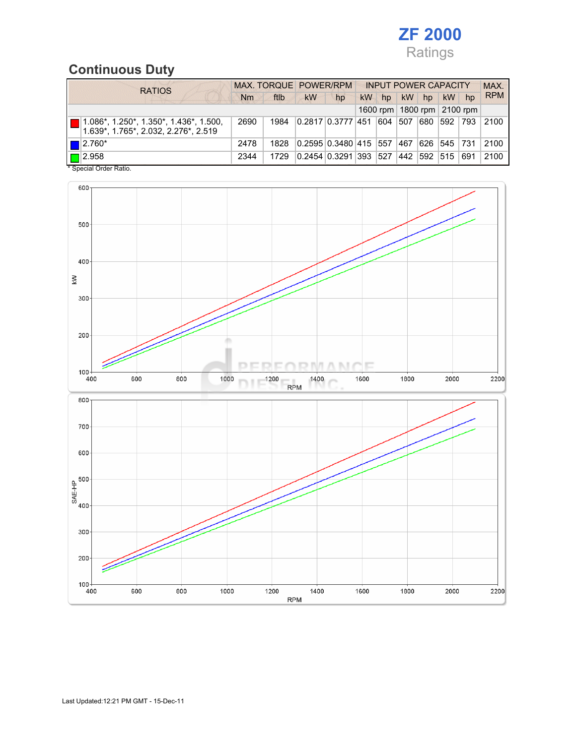

## Continuous Duty

|  | <b>RATIOS</b>                                                                        |      | MAX. TORQUE POWER/RPM |           |                       | <b>INPUT POWER CAPACITY</b> |     |           |               |    |                                | MAX.       |
|--|--------------------------------------------------------------------------------------|------|-----------------------|-----------|-----------------------|-----------------------------|-----|-----------|---------------|----|--------------------------------|------------|
|  |                                                                                      |      | ftlb                  | <b>kW</b> | hp                    | kW                          | hp  | <b>kW</b> | hp            | kW | hp                             | <b>RPM</b> |
|  |                                                                                      |      |                       |           |                       |                             |     |           |               |    | 1600 rpm   1800 rpm   2100 rpm |            |
|  | ■ 1.086*, 1.250*, 1.350*, 1.436*, 1.500,<br>$1.639^*$ , 1.765*, 2.032, 2.276*, 2.519 | 2690 | 1984                  |           | 0.2817   0.3777   451 |                             | 604 | 507       | 680           |    | 592   793                      | 2100       |
|  | $\blacksquare$  2.760*                                                               | 2478 | 1828                  |           | 0.2595 0.3480 415 557 |                             |     | ີ  467 ∣∖ |               |    | 626  545   731                 | 2100       |
|  | $\Box$ 2.958<br>$\cdots$                                                             | 2344 | 1729                  |           | 0.2454   0.3291   393 |                             | 527 |           | 442  592  515 |    | 691                            | 2100       |

\* Special Order Ratio.

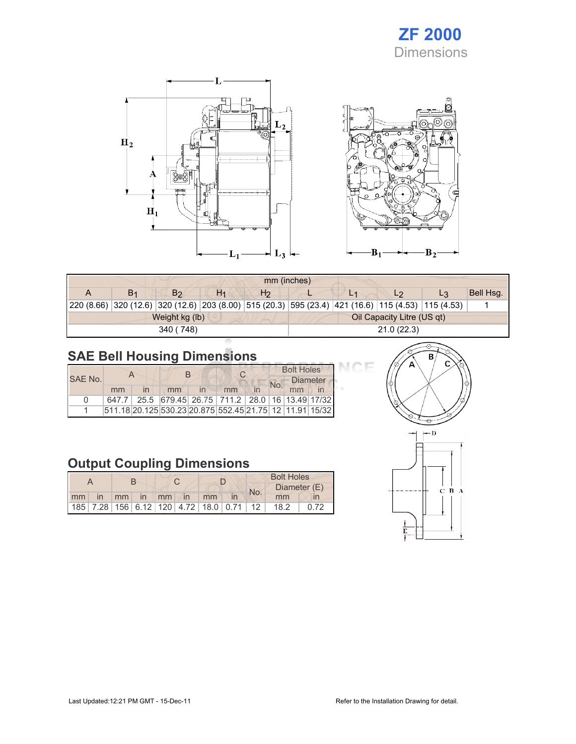# ZF 2000 Dimensions

Œ



|                                                                                                           | mm (inches)    |                |                |                |                            |    |                |       |           |  |
|-----------------------------------------------------------------------------------------------------------|----------------|----------------|----------------|----------------|----------------------------|----|----------------|-------|-----------|--|
|                                                                                                           | B <sub>1</sub> | B <sub>2</sub> | H <sub>1</sub> | H <sub>2</sub> |                            | L1 | L <sub>2</sub> | $L_3$ | Bell Hsg. |  |
| 20 (8.66)  320 (12.6)  320 (12.6)  203 (8.00)  515 (20.3)  595 (23.4)  421 (16.6)  115 (4.53)  115 (4.53) |                |                |                |                |                            |    |                |       |           |  |
|                                                                                                           |                | Weight kg (lb) |                |                | Oil Capacity Litre (US qt) |    |                |       |           |  |
|                                                                                                           |                | 340 (748)      |                |                | 21.0(22.3)                 |    |                |       |           |  |

# SAE Bell Housing Dimensions

|         |    |                         | $\cap$                                                  |  |    | <b>Bolt Holes</b> |  |                 |  |
|---------|----|-------------------------|---------------------------------------------------------|--|----|-------------------|--|-----------------|--|
| SAF No. |    |                         |                                                         |  |    |                   |  | <b>Diameter</b> |  |
|         | mm | $\overline{\mathsf{I}}$ | mm                                                      |  | mm |                   |  |                 |  |
| n       |    |                         | 647.7 25.5 679.45 26.75 711.2 28.0 16 13.49 17/32       |  |    |                   |  |                 |  |
|         |    |                         | 511.18 20.125 530.23 20.875 552.45 21.75 12 11.91 15/32 |  |    |                   |  |                 |  |

## Output Coupling Dimensions

|  |  |  |                      | <b>Bolt Holes</b> |  |     |                                              |  |  |
|--|--|--|----------------------|-------------------|--|-----|----------------------------------------------|--|--|
|  |  |  |                      |                   |  | No. | Diameter (E)                                 |  |  |
|  |  |  | mm in mm in mm in mm |                   |  |     | mm                                           |  |  |
|  |  |  |                      |                   |  |     | 185 7.28 156 6.12 120 4.72 18.0 0.71 12 18.2 |  |  |



эF